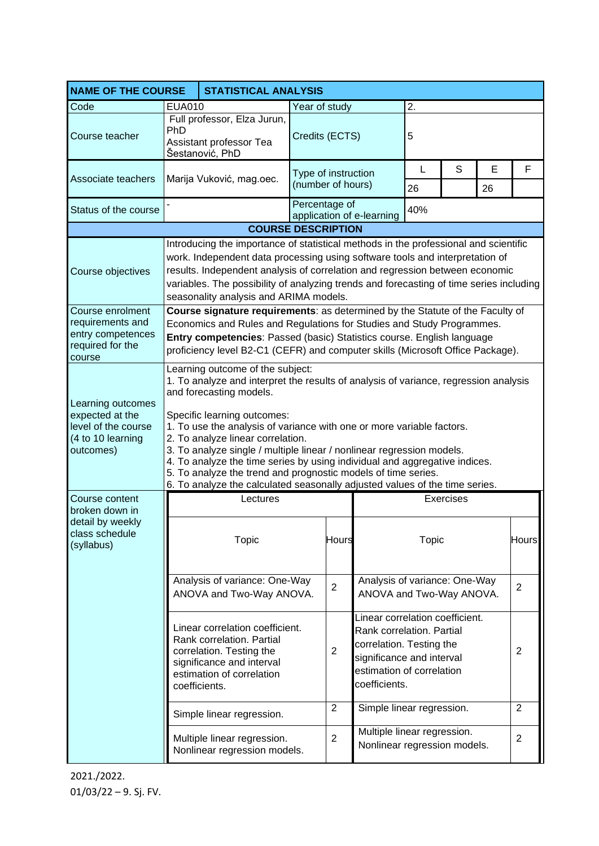| <b>NAME OF THE COURSE</b><br><b>STATISTICAL ANALYSIS</b>                                      |                                                                                                                                                                                                                                                                                                                                                                                                                                                                                                                                                                                                         |                                                                                                                                                                     |                                          |              |                                                                                                                                                                     |              |         |                |                |
|-----------------------------------------------------------------------------------------------|---------------------------------------------------------------------------------------------------------------------------------------------------------------------------------------------------------------------------------------------------------------------------------------------------------------------------------------------------------------------------------------------------------------------------------------------------------------------------------------------------------------------------------------------------------------------------------------------------------|---------------------------------------------------------------------------------------------------------------------------------------------------------------------|------------------------------------------|--------------|---------------------------------------------------------------------------------------------------------------------------------------------------------------------|--------------|---------|----------------|----------------|
| Code                                                                                          | <b>EUA010</b>                                                                                                                                                                                                                                                                                                                                                                                                                                                                                                                                                                                           |                                                                                                                                                                     | Year of study                            |              |                                                                                                                                                                     | 2.           |         |                |                |
| Course teacher                                                                                | Full professor, Elza Jurun,<br>PhD<br>Assistant professor Tea<br>Šestanović, PhD                                                                                                                                                                                                                                                                                                                                                                                                                                                                                                                        |                                                                                                                                                                     | Credits (ECTS)                           |              |                                                                                                                                                                     | 5            |         |                |                |
| Associate teachers                                                                            |                                                                                                                                                                                                                                                                                                                                                                                                                                                                                                                                                                                                         | Marija Vuković, mag.oec.                                                                                                                                            | Type of instruction<br>(number of hours) |              | L<br>26                                                                                                                                                             | S            | Е<br>26 | F              |                |
| Status of the course                                                                          |                                                                                                                                                                                                                                                                                                                                                                                                                                                                                                                                                                                                         |                                                                                                                                                                     | Percentage of                            |              | application of e-learning                                                                                                                                           | 40%          |         |                |                |
| <b>COURSE DESCRIPTION</b>                                                                     |                                                                                                                                                                                                                                                                                                                                                                                                                                                                                                                                                                                                         |                                                                                                                                                                     |                                          |              |                                                                                                                                                                     |              |         |                |                |
| Course objectives                                                                             | Introducing the importance of statistical methods in the professional and scientific<br>work. Independent data processing using software tools and interpretation of<br>results. Independent analysis of correlation and regression between economic<br>variables. The possibility of analyzing trends and forecasting of time series including<br>seasonality analysis and ARIMA models.                                                                                                                                                                                                               |                                                                                                                                                                     |                                          |              |                                                                                                                                                                     |              |         |                |                |
| Course enrolment<br>requirements and<br>entry competences<br>required for the<br>course       | Course signature requirements: as determined by the Statute of the Faculty of<br>Economics and Rules and Regulations for Studies and Study Programmes.<br>Entry competencies: Passed (basic) Statistics course. English language<br>proficiency level B2-C1 (CEFR) and computer skills (Microsoft Office Package).                                                                                                                                                                                                                                                                                      |                                                                                                                                                                     |                                          |              |                                                                                                                                                                     |              |         |                |                |
| Learning outcomes<br>expected at the<br>level of the course<br>(4 to 10 learning<br>outcomes) | Learning outcome of the subject:<br>1. To analyze and interpret the results of analysis of variance, regression analysis<br>and forecasting models.<br>Specific learning outcomes:<br>1. To use the analysis of variance with one or more variable factors.<br>2. To analyze linear correlation.<br>3. To analyze single / multiple linear / nonlinear regression models.<br>4. To analyze the time series by using individual and aggregative indices.<br>5. To analyze the trend and prognostic models of time series.<br>6. To analyze the calculated seasonally adjusted values of the time series. |                                                                                                                                                                     |                                          |              |                                                                                                                                                                     |              |         |                |                |
| Course content                                                                                |                                                                                                                                                                                                                                                                                                                                                                                                                                                                                                                                                                                                         | <b>Exercises</b>                                                                                                                                                    |                                          |              |                                                                                                                                                                     |              |         |                |                |
| broken down in<br>detail by weekly<br>class schedule<br>(syllabus)                            |                                                                                                                                                                                                                                                                                                                                                                                                                                                                                                                                                                                                         | Topic                                                                                                                                                               |                                          | <b>Hours</b> |                                                                                                                                                                     | <b>Topic</b> |         |                | <b>Hours</b>   |
|                                                                                               |                                                                                                                                                                                                                                                                                                                                                                                                                                                                                                                                                                                                         | Analysis of variance: One-Way<br>ANOVA and Two-Way ANOVA.                                                                                                           | $\overline{2}$                           |              | Analysis of variance: One-Way<br>ANOVA and Two-Way ANOVA.                                                                                                           |              |         |                | 2              |
|                                                                                               |                                                                                                                                                                                                                                                                                                                                                                                                                                                                                                                                                                                                         | Linear correlation coefficient.<br>Rank correlation. Partial<br>correlation. Testing the<br>significance and interval<br>estimation of correlation<br>coefficients. | $\overline{2}$                           |              | Linear correlation coefficient.<br>Rank correlation. Partial<br>correlation. Testing the<br>significance and interval<br>estimation of correlation<br>coefficients. |              |         | 2              |                |
|                                                                                               |                                                                                                                                                                                                                                                                                                                                                                                                                                                                                                                                                                                                         | Simple linear regression.                                                                                                                                           | $\overline{2}$                           |              | Simple linear regression.                                                                                                                                           |              |         | $\overline{2}$ |                |
|                                                                                               |                                                                                                                                                                                                                                                                                                                                                                                                                                                                                                                                                                                                         | Multiple linear regression.<br>Nonlinear regression models.                                                                                                         | $\overline{2}$                           |              | Multiple linear regression.<br>Nonlinear regression models.                                                                                                         |              |         |                | $\overline{2}$ |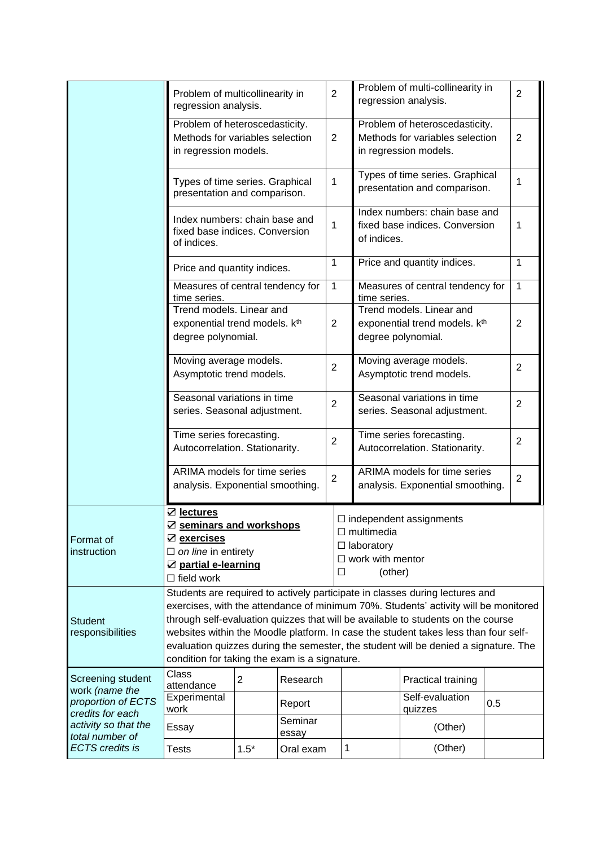|                                                                               | Problem of multicollinearity in<br>regression analysis.                                                                                                                                                                                                                                                                                                                                                                                                                                |                |                  |                                                                                                                        |                                                                                            | Problem of multi-collinearity in<br>regression analysis.                                    |     |  |  |  |
|-------------------------------------------------------------------------------|----------------------------------------------------------------------------------------------------------------------------------------------------------------------------------------------------------------------------------------------------------------------------------------------------------------------------------------------------------------------------------------------------------------------------------------------------------------------------------------|----------------|------------------|------------------------------------------------------------------------------------------------------------------------|--------------------------------------------------------------------------------------------|---------------------------------------------------------------------------------------------|-----|--|--|--|
|                                                                               | Problem of heteroscedasticity.<br>Methods for variables selection<br>in regression models.                                                                                                                                                                                                                                                                                                                                                                                             |                |                  |                                                                                                                        | Problem of heteroscedasticity.<br>Methods for variables selection<br>in regression models. | $\overline{2}$                                                                              |     |  |  |  |
|                                                                               | Types of time series. Graphical<br>presentation and comparison.                                                                                                                                                                                                                                                                                                                                                                                                                        |                |                  |                                                                                                                        |                                                                                            | Types of time series. Graphical<br>presentation and comparison.                             |     |  |  |  |
|                                                                               | Index numbers: chain base and<br>fixed base indices. Conversion<br>of indices.                                                                                                                                                                                                                                                                                                                                                                                                         |                |                  |                                                                                                                        |                                                                                            | Index numbers: chain base and<br>fixed base indices. Conversion<br>of indices.              |     |  |  |  |
|                                                                               | Price and quantity indices.                                                                                                                                                                                                                                                                                                                                                                                                                                                            |                |                  | $\mathbf{1}$                                                                                                           |                                                                                            | Price and quantity indices.                                                                 |     |  |  |  |
|                                                                               | Measures of central tendency for<br>time series.                                                                                                                                                                                                                                                                                                                                                                                                                                       |                |                  | 1                                                                                                                      |                                                                                            | Measures of central tendency for<br>time series.                                            |     |  |  |  |
|                                                                               | Trend models. Linear and<br>exponential trend models. k <sup>th</sup><br>degree polynomial.                                                                                                                                                                                                                                                                                                                                                                                            |                |                  |                                                                                                                        |                                                                                            | Trend models. Linear and<br>exponential trend models. k <sup>th</sup><br>degree polynomial. |     |  |  |  |
|                                                                               | Moving average models.<br>Asymptotic trend models.                                                                                                                                                                                                                                                                                                                                                                                                                                     |                | $\overline{2}$   |                                                                                                                        | Moving average models.<br>Asymptotic trend models.                                         | $\overline{2}$                                                                              |     |  |  |  |
|                                                                               | Seasonal variations in time<br>series. Seasonal adjustment.<br>Time series forecasting.<br>Autocorrelation. Stationarity.                                                                                                                                                                                                                                                                                                                                                              |                |                  | $\overline{2}$                                                                                                         |                                                                                            | Seasonal variations in time<br>series. Seasonal adjustment.                                 |     |  |  |  |
|                                                                               |                                                                                                                                                                                                                                                                                                                                                                                                                                                                                        |                |                  | $\overline{2}$                                                                                                         | Time series forecasting.<br>2<br>Autocorrelation. Stationarity.                            |                                                                                             |     |  |  |  |
|                                                                               | ARIMA models for time series<br>analysis. Exponential smoothing.                                                                                                                                                                                                                                                                                                                                                                                                                       |                |                  |                                                                                                                        | ARIMA models for time series<br>analysis. Exponential smoothing.                           | $\overline{2}$                                                                              |     |  |  |  |
| Format of<br>instruction                                                      | <b>Ø</b> lectures<br>☑ seminars and workshops<br>☑ exercises<br>$\Box$ on line in entirety<br>☑ partial e-learning<br>$\Box$ field work                                                                                                                                                                                                                                                                                                                                                |                |                  | $\Box$ independent assignments<br>$\square$ multimedia<br>$\Box$ laboratory<br>$\Box$ work with mentor<br>(other)<br>□ |                                                                                            |                                                                                             |     |  |  |  |
| <b>Student</b><br>responsibilities                                            | Students are required to actively participate in classes during lectures and<br>exercises, with the attendance of minimum 70%. Students' activity will be monitored<br>through self-evaluation quizzes that will be available to students on the course<br>websites within the Moodle platform. In case the student takes less than four self-<br>evaluation quizzes during the semester, the student will be denied a signature. The<br>condition for taking the exam is a signature. |                |                  |                                                                                                                        |                                                                                            |                                                                                             |     |  |  |  |
| Screening student<br>work (name the<br>proportion of ECTS<br>credits for each | Class<br>attendance                                                                                                                                                                                                                                                                                                                                                                                                                                                                    | $\overline{2}$ | Research         |                                                                                                                        |                                                                                            | Practical training                                                                          |     |  |  |  |
|                                                                               | Experimental<br>work                                                                                                                                                                                                                                                                                                                                                                                                                                                                   |                | Report           |                                                                                                                        |                                                                                            | Self-evaluation<br>quizzes                                                                  | 0.5 |  |  |  |
| activity so that the<br>total number of                                       | Essay                                                                                                                                                                                                                                                                                                                                                                                                                                                                                  |                | Seminar<br>essay |                                                                                                                        |                                                                                            | (Other)                                                                                     |     |  |  |  |
| <b>ECTS</b> credits is                                                        | <b>Tests</b>                                                                                                                                                                                                                                                                                                                                                                                                                                                                           | $1.5*$         | Oral exam        |                                                                                                                        | 1                                                                                          | (Other)                                                                                     |     |  |  |  |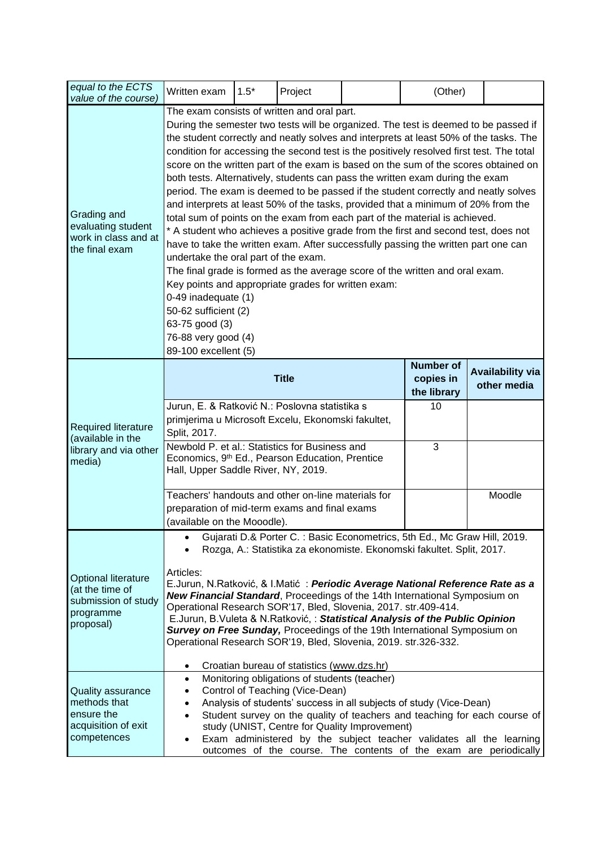| equal to the ECTS<br>value of the course)                                                      | Written exam                                                                                                                                                                                                                                                                                                                                                                                                                                                                                                                                                                                                                                                                                                                                                                                                                                                                                                                                                                                                                                                                                                                                                                                                                         | $1.5*$       | Project                                      |                                        | (Other) |  |  |
|------------------------------------------------------------------------------------------------|--------------------------------------------------------------------------------------------------------------------------------------------------------------------------------------------------------------------------------------------------------------------------------------------------------------------------------------------------------------------------------------------------------------------------------------------------------------------------------------------------------------------------------------------------------------------------------------------------------------------------------------------------------------------------------------------------------------------------------------------------------------------------------------------------------------------------------------------------------------------------------------------------------------------------------------------------------------------------------------------------------------------------------------------------------------------------------------------------------------------------------------------------------------------------------------------------------------------------------------|--------------|----------------------------------------------|----------------------------------------|---------|--|--|
| Grading and<br>evaluating student<br>work in class and at<br>the final exam                    | The exam consists of written and oral part.<br>During the semester two tests will be organized. The test is deemed to be passed if<br>the student correctly and neatly solves and interprets at least 50% of the tasks. The<br>condition for accessing the second test is the positively resolved first test. The total<br>score on the written part of the exam is based on the sum of the scores obtained on<br>both tests. Alternatively, students can pass the written exam during the exam<br>period. The exam is deemed to be passed if the student correctly and neatly solves<br>and interprets at least 50% of the tasks, provided that a minimum of 20% from the<br>total sum of points on the exam from each part of the material is achieved.<br>* A student who achieves a positive grade from the first and second test, does not<br>have to take the written exam. After successfully passing the written part one can<br>undertake the oral part of the exam.<br>The final grade is formed as the average score of the written and oral exam.<br>Key points and appropriate grades for written exam:<br>0-49 inadequate (1)<br>50-62 sufficient (2)<br>63-75 good (3)<br>76-88 very good (4)<br>89-100 excellent (5) |              |                                              |                                        |         |  |  |
| <b>Required literature</b><br>(available in the<br>library and via other<br>media)             |                                                                                                                                                                                                                                                                                                                                                                                                                                                                                                                                                                                                                                                                                                                                                                                                                                                                                                                                                                                                                                                                                                                                                                                                                                      | <b>Title</b> | <b>Number of</b><br>copies in<br>the library | <b>Availability via</b><br>other media |         |  |  |
|                                                                                                | Jurun, E. & Ratković N.: Poslovna statistika s<br>primjerima u Microsoft Excelu, Ekonomski fakultet,<br>Split, 2017.<br>Newbold P. et al.: Statistics for Business and<br>Economics, 9th Ed., Pearson Education, Prentice<br>Hall, Upper Saddle River, NY, 2019.                                                                                                                                                                                                                                                                                                                                                                                                                                                                                                                                                                                                                                                                                                                                                                                                                                                                                                                                                                     |              | 10<br>3                                      |                                        |         |  |  |
|                                                                                                | Teachers' handouts and other on-line materials for<br>preparation of mid-term exams and final exams<br>(available on the Mooodle).                                                                                                                                                                                                                                                                                                                                                                                                                                                                                                                                                                                                                                                                                                                                                                                                                                                                                                                                                                                                                                                                                                   |              |                                              | Moodle                                 |         |  |  |
| <b>Optional literature</b><br>(at the time of<br>submission of study<br>programme<br>proposal) | Gujarati D.& Porter C.: Basic Econometrics, 5th Ed., Mc Graw Hill, 2019.<br>Rozga, A.: Statistika za ekonomiste. Ekonomski fakultet. Split, 2017.<br>Articles:<br>E.Jurun, N.Ratković, & I.Matić : Periodic Average National Reference Rate as a<br><b>New Financial Standard, Proceedings of the 14th International Symposium on</b><br>Operational Research SOR'17, Bled, Slovenia, 2017. str.409-414.<br>E.Jurun, B.Vuleta & N.Ratković, : Statistical Analysis of the Public Opinion<br>Survey on Free Sunday, Proceedings of the 19th International Symposium on<br>Operational Research SOR'19, Bled, Slovenia, 2019. str.326-332.<br>Croatian bureau of statistics (www.dzs.hr)<br>٠                                                                                                                                                                                                                                                                                                                                                                                                                                                                                                                                          |              |                                              |                                        |         |  |  |
| <b>Quality assurance</b><br>methods that<br>ensure the<br>acquisition of exit<br>competences   | Monitoring obligations of students (teacher)<br>$\bullet$<br>Control of Teaching (Vice-Dean)<br>٠<br>Analysis of students' success in all subjects of study (Vice-Dean)<br>٠<br>Student survey on the quality of teachers and teaching for each course of<br>$\bullet$<br>study (UNIST, Centre for Quality Improvement)<br>Exam administered by the subject teacher validates all the learning<br>٠<br>outcomes of the course. The contents of the exam are periodically                                                                                                                                                                                                                                                                                                                                                                                                                                                                                                                                                                                                                                                                                                                                                             |              |                                              |                                        |         |  |  |